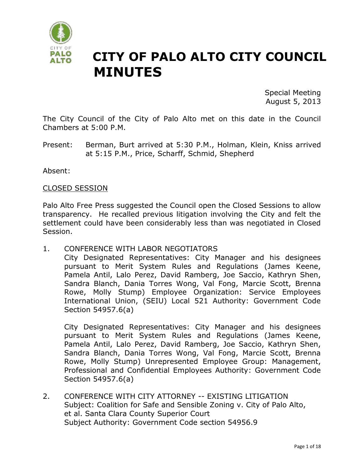

# **CITY OF PALO ALTO CITY COUNCIL MINUTES**

Special Meeting August 5, 2013

The City Council of the City of Palo Alto met on this date in the Council Chambers at 5:00 P.M.

Present: Berman, Burt arrived at 5:30 P.M., Holman, Klein, Kniss arrived at 5:15 P.M., Price, Scharff, Schmid, Shepherd

Absent:

### CLOSED SESSION

Palo Alto Free Press suggested the Council open the Closed Sessions to allow transparency. He recalled previous litigation involving the City and felt the settlement could have been considerably less than was negotiated in Closed Session.

1. CONFERENCE WITH LABOR NEGOTIATORS

City Designated Representatives: City Manager and his designees pursuant to Merit System Rules and Regulations (James Keene, Pamela Antil, Lalo Perez, David Ramberg, Joe Saccio, Kathryn Shen, Sandra Blanch, Dania Torres Wong, Val Fong, Marcie Scott, Brenna Rowe, Molly Stump) Employee Organization: Service Employees International Union, (SEIU) Local 521 Authority: Government Code Section 54957.6(a)

City Designated Representatives: City Manager and his designees pursuant to Merit System Rules and Regulations (James Keene, Pamela Antil, Lalo Perez, David Ramberg, Joe Saccio, Kathryn Shen, Sandra Blanch, Dania Torres Wong, Val Fong, Marcie Scott, Brenna Rowe, Molly Stump) Unrepresented Employee Group: Management, Professional and Confidential Employees Authority: Government Code Section 54957.6(a)

2. CONFERENCE WITH CITY ATTORNEY -- EXISTING LITIGATION Subject: Coalition for Safe and Sensible Zoning v. City of Palo Alto, et al. Santa Clara County Superior Court Subject Authority: Government Code section 54956.9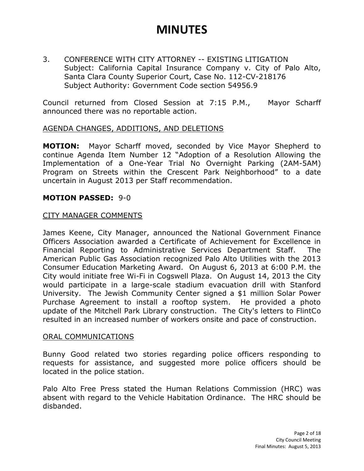3. CONFERENCE WITH CITY ATTORNEY -- EXISTING LITIGATION Subject: California Capital Insurance Company v. City of Palo Alto, Santa Clara County Superior Court, Case No. 112-CV-218176 Subject Authority: Government Code section 54956.9

Council returned from Closed Session at 7:15 P.M., Mayor Scharff announced there was no reportable action.

### AGENDA CHANGES, ADDITIONS, AND DELETIONS

**MOTION:** Mayor Scharff moved, seconded by Vice Mayor Shepherd to continue Agenda Item Number 12 "Adoption of a Resolution Allowing the Implementation of a One-Year Trial No Overnight Parking (2AM-5AM) Program on Streets within the Crescent Park Neighborhood" to a date uncertain in August 2013 per Staff recommendation.

### **MOTION PASSED:** 9-0

### CITY MANAGER COMMENTS

James Keene, City Manager, announced the National Government Finance Officers Association awarded a Certificate of Achievement for Excellence in Financial Reporting to Administrative Services Department Staff. The American Public Gas Association recognized Palo Alto Utilities with the 2013 Consumer Education Marketing Award. On August 6, 2013 at 6:00 P.M. the City would initiate free Wi-Fi in Cogswell Plaza. On August 14, 2013 the City would participate in a large-scale stadium evacuation drill with Stanford University. The Jewish Community Center signed a \$1 million Solar Power Purchase Agreement to install a rooftop system. He provided a photo update of the Mitchell Park Library construction. The City's letters to FlintCo resulted in an increased number of workers onsite and pace of construction.

#### ORAL COMMUNICATIONS

Bunny Good related two stories regarding police officers responding to requests for assistance, and suggested more police officers should be located in the police station.

Palo Alto Free Press stated the Human Relations Commission (HRC) was absent with regard to the Vehicle Habitation Ordinance. The HRC should be disbanded.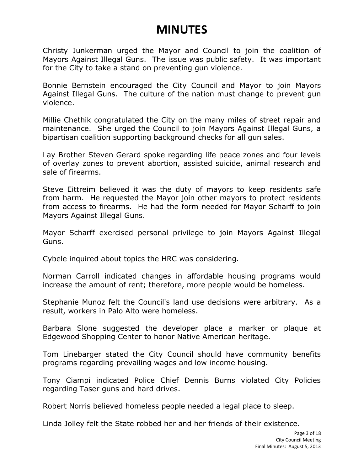Christy Junkerman urged the Mayor and Council to join the coalition of Mayors Against Illegal Guns. The issue was public safety. It was important for the City to take a stand on preventing gun violence.

Bonnie Bernstein encouraged the City Council and Mayor to join Mayors Against Illegal Guns. The culture of the nation must change to prevent gun violence.

Millie Chethik congratulated the City on the many miles of street repair and maintenance. She urged the Council to join Mayors Against Illegal Guns, a bipartisan coalition supporting background checks for all gun sales.

Lay Brother Steven Gerard spoke regarding life peace zones and four levels of overlay zones to prevent abortion, assisted suicide, animal research and sale of firearms.

Steve Eittreim believed it was the duty of mayors to keep residents safe from harm. He requested the Mayor join other mayors to protect residents from access to firearms. He had the form needed for Mayor Scharff to join Mayors Against Illegal Guns.

Mayor Scharff exercised personal privilege to join Mayors Against Illegal Guns.

Cybele inquired about topics the HRC was considering.

Norman Carroll indicated changes in affordable housing programs would increase the amount of rent; therefore, more people would be homeless.

Stephanie Munoz felt the Council's land use decisions were arbitrary. As a result, workers in Palo Alto were homeless.

Barbara Slone suggested the developer place a marker or plaque at Edgewood Shopping Center to honor Native American heritage.

Tom Linebarger stated the City Council should have community benefits programs regarding prevailing wages and low income housing.

Tony Ciampi indicated Police Chief Dennis Burns violated City Policies regarding Taser guns and hard drives.

Robert Norris believed homeless people needed a legal place to sleep.

Linda Jolley felt the State robbed her and her friends of their existence.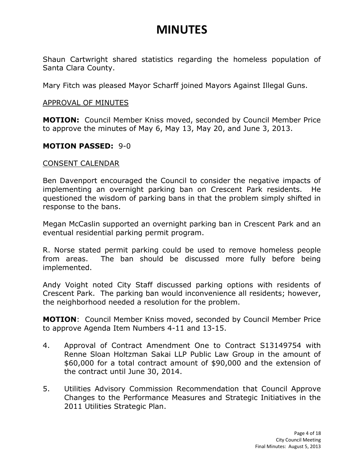Shaun Cartwright shared statistics regarding the homeless population of Santa Clara County.

Mary Fitch was pleased Mayor Scharff joined Mayors Against Illegal Guns.

#### APPROVAL OF MINUTES

**MOTION:** Council Member Kniss moved, seconded by Council Member Price to approve the minutes of May 6, May 13, May 20, and June 3, 2013.

#### **MOTION PASSED:** 9-0

#### CONSENT CALENDAR

Ben Davenport encouraged the Council to consider the negative impacts of implementing an overnight parking ban on Crescent Park residents. He questioned the wisdom of parking bans in that the problem simply shifted in response to the bans.

Megan McCaslin supported an overnight parking ban in Crescent Park and an eventual residential parking permit program.

R. Norse stated permit parking could be used to remove homeless people from areas. The ban should be discussed more fully before being implemented.

Andy Voight noted City Staff discussed parking options with residents of Crescent Park. The parking ban would inconvenience all residents; however, the neighborhood needed a resolution for the problem.

**MOTION**: Council Member Kniss moved, seconded by Council Member Price to approve Agenda Item Numbers 4-11 and 13-15.

- 4. Approval of Contract Amendment One to Contract S13149754 with Renne Sloan Holtzman Sakai LLP Public Law Group in the amount of \$60,000 for a total contract amount of \$90,000 and the extension of the contract until June 30, 2014.
- 5. Utilities Advisory Commission Recommendation that Council Approve Changes to the Performance Measures and Strategic Initiatives in the 2011 Utilities Strategic Plan.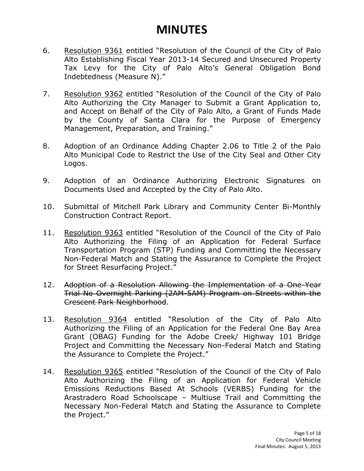- 6. Resolution 9361 entitled "Resolution of the Council of the City of Palo Alto Establishing Fiscal Year 2013-14 Secured and Unsecured Property Tax Levy for the City of Palo Alto's General Obligation Bond Indebtedness (Measure N)."
- 7. Resolution 9362 entitled "Resolution of the Council of the City of Palo Alto Authorizing the City Manager to Submit a Grant Application to, and Accept on Behalf of the City of Palo Alto, a Grant of Funds Made by the County of Santa Clara for the Purpose of Emergency Management, Preparation, and Training."
- 8. Adoption of an Ordinance Adding Chapter 2.06 to Title 2 of the Palo Alto Municipal Code to Restrict the Use of the City Seal and Other City Logos.
- 9. Adoption of an Ordinance Authorizing Electronic Signatures on Documents Used and Accepted by the City of Palo Alto.
- 10. Submittal of Mitchell Park Library and Community Center Bi-Monthly Construction Contract Report.
- 11. Resolution 9363 entitled "Resolution of the Council of the City of Palo Alto Authorizing the Filing of an Application for Federal Surface Transportation Program (STP) Funding and Committing the Necessary Non-Federal Match and Stating the Assurance to Complete the Project for Street Resurfacing Project."
- 12. Adoption of a Resolution Allowing the Implementation of a One-Year Trial No Overnight Parking (2AM-5AM) Program on Streets within the Crescent Park Neighborhood.
- 13. Resolution 9364 entitled "Resolution of the City of Palo Alto Authorizing the Filing of an Application for the Federal One Bay Area Grant (OBAG) Funding for the Adobe Creek/ Highway 101 Bridge Project and Committing the Necessary Non-Federal Match and Stating the Assurance to Complete the Project."
- 14. Resolution 9365 entitled "Resolution of the Council of the City of Palo Alto Authorizing the Filing of an Application for Federal Vehicle Emissions Reductions Based At Schools (VERBS) Funding for the Arastradero Road Schoolscape – Multiuse Trail and Committing the Necessary Non-Federal Match and Stating the Assurance to Complete the Project."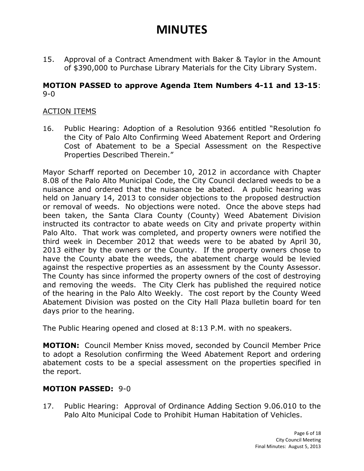15. Approval of a Contract Amendment with Baker & Taylor in the Amount of \$390,000 to Purchase Library Materials for the City Library System.

### **MOTION PASSED to approve Agenda Item Numbers 4-11 and 13-15**: 9-0

### ACTION ITEMS

16. Public Hearing: Adoption of a Resolution 9366 entitled "Resolution fo the City of Palo Alto Confirming Weed Abatement Report and Ordering Cost of Abatement to be a Special Assessment on the Respective Properties Described Therein."

Mayor Scharff reported on December 10, 2012 in accordance with Chapter 8.08 of the Palo Alto Municipal Code, the City Council declared weeds to be a nuisance and ordered that the nuisance be abated. A public hearing was held on January 14, 2013 to consider objections to the proposed destruction or removal of weeds. No objections were noted. Once the above steps had been taken, the Santa Clara County (County) Weed Abatement Division instructed its contractor to abate weeds on City and private property within Palo Alto. That work was completed, and property owners were notified the third week in December 2012 that weeds were to be abated by April 30, 2013 either by the owners or the County. If the property owners chose to have the County abate the weeds, the abatement charge would be levied against the respective properties as an assessment by the County Assessor. The County has since informed the property owners of the cost of destroying and removing the weeds. The City Clerk has published the required notice of the hearing in the Palo Alto Weekly. The cost report by the County Weed Abatement Division was posted on the City Hall Plaza bulletin board for ten days prior to the hearing.

The Public Hearing opened and closed at 8:13 P.M. with no speakers.

**MOTION:** Council Member Kniss moved, seconded by Council Member Price to adopt a Resolution confirming the Weed Abatement Report and ordering abatement costs to be a special assessment on the properties specified in the report.

### **MOTION PASSED:** 9-0

17. Public Hearing: Approval of Ordinance Adding Section 9.06.010 to the Palo Alto Municipal Code to Prohibit Human Habitation of Vehicles.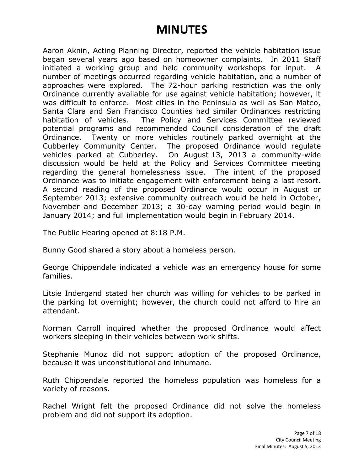Aaron Aknin, Acting Planning Director, reported the vehicle habitation issue began several years ago based on homeowner complaints. In 2011 Staff initiated a working group and held community workshops for input. A number of meetings occurred regarding vehicle habitation, and a number of approaches were explored. The 72-hour parking restriction was the only Ordinance currently available for use against vehicle habitation; however, it was difficult to enforce. Most cities in the Peninsula as well as San Mateo, Santa Clara and San Francisco Counties had similar Ordinances restricting habitation of vehicles. The Policy and Services Committee reviewed potential programs and recommended Council consideration of the draft Ordinance. Twenty or more vehicles routinely parked overnight at the Cubberley Community Center. The proposed Ordinance would regulate vehicles parked at Cubberley. On August 13, 2013 a community-wide discussion would be held at the Policy and Services Committee meeting regarding the general homelessness issue. The intent of the proposed Ordinance was to initiate engagement with enforcement being a last resort. A second reading of the proposed Ordinance would occur in August or September 2013; extensive community outreach would be held in October, November and December 2013; a 30-day warning period would begin in January 2014; and full implementation would begin in February 2014.

The Public Hearing opened at 8:18 P.M.

Bunny Good shared a story about a homeless person.

George Chippendale indicated a vehicle was an emergency house for some families.

Litsie Indergand stated her church was willing for vehicles to be parked in the parking lot overnight; however, the church could not afford to hire an attendant.

Norman Carroll inquired whether the proposed Ordinance would affect workers sleeping in their vehicles between work shifts.

Stephanie Munoz did not support adoption of the proposed Ordinance, because it was unconstitutional and inhumane.

Ruth Chippendale reported the homeless population was homeless for a variety of reasons.

Rachel Wright felt the proposed Ordinance did not solve the homeless problem and did not support its adoption.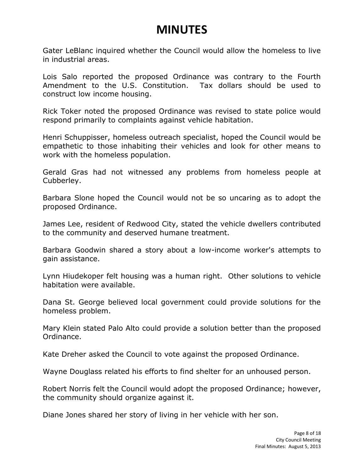Gater LeBlanc inquired whether the Council would allow the homeless to live in industrial areas.

Lois Salo reported the proposed Ordinance was contrary to the Fourth Amendment to the U.S. Constitution. Tax dollars should be used to construct low income housing.

Rick Toker noted the proposed Ordinance was revised to state police would respond primarily to complaints against vehicle habitation.

Henri Schuppisser, homeless outreach specialist, hoped the Council would be empathetic to those inhabiting their vehicles and look for other means to work with the homeless population.

Gerald Gras had not witnessed any problems from homeless people at Cubberley.

Barbara Slone hoped the Council would not be so uncaring as to adopt the proposed Ordinance.

James Lee, resident of Redwood City, stated the vehicle dwellers contributed to the community and deserved humane treatment.

Barbara Goodwin shared a story about a low-income worker's attempts to gain assistance.

Lynn Hiudekoper felt housing was a human right. Other solutions to vehicle habitation were available.

Dana St. George believed local government could provide solutions for the homeless problem.

Mary Klein stated Palo Alto could provide a solution better than the proposed Ordinance.

Kate Dreher asked the Council to vote against the proposed Ordinance.

Wayne Douglass related his efforts to find shelter for an unhoused person.

Robert Norris felt the Council would adopt the proposed Ordinance; however, the community should organize against it.

Diane Jones shared her story of living in her vehicle with her son.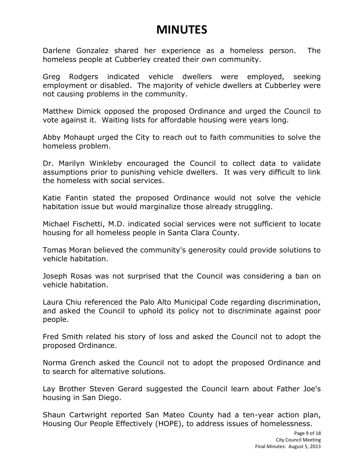Darlene Gonzalez shared her experience as a homeless person. The homeless people at Cubberley created their own community.

Greg Rodgers indicated vehicle dwellers were employed, seeking employment or disabled. The majority of vehicle dwellers at Cubberley were not causing problems in the community.

Matthew Dimick opposed the proposed Ordinance and urged the Council to vote against it. Waiting lists for affordable housing were years long.

Abby Mohaupt urged the City to reach out to faith communities to solve the homeless problem.

Dr. Marilyn Winkleby encouraged the Council to collect data to validate assumptions prior to punishing vehicle dwellers. It was very difficult to link the homeless with social services.

Katie Fantin stated the proposed Ordinance would not solve the vehicle habitation issue but would marginalize those already struggling.

Michael Fischetti, M.D. indicated social services were not sufficient to locate housing for all homeless people in Santa Clara County.

Tomas Moran believed the community's generosity could provide solutions to vehicle habitation.

Joseph Rosas was not surprised that the Council was considering a ban on vehicle habitation.

Laura Chiu referenced the Palo Alto Municipal Code regarding discrimination, and asked the Council to uphold its policy not to discriminate against poor people.

Fred Smith related his story of loss and asked the Council not to adopt the proposed Ordinance.

Norma Grench asked the Council not to adopt the proposed Ordinance and to search for alternative solutions.

Lay Brother Steven Gerard suggested the Council learn about Father Joe's housing in San Diego.

Shaun Cartwright reported San Mateo County had a ten-year action plan, Housing Our People Effectively (HOPE), to address issues of homelessness.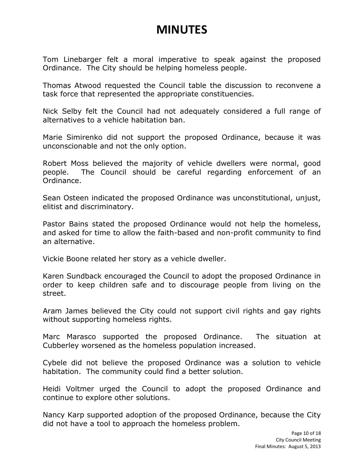Tom Linebarger felt a moral imperative to speak against the proposed Ordinance. The City should be helping homeless people.

Thomas Atwood requested the Council table the discussion to reconvene a task force that represented the appropriate constituencies.

Nick Selby felt the Council had not adequately considered a full range of alternatives to a vehicle habitation ban.

Marie Simirenko did not support the proposed Ordinance, because it was unconscionable and not the only option.

Robert Moss believed the majority of vehicle dwellers were normal, good people. The Council should be careful regarding enforcement of an Ordinance.

Sean Osteen indicated the proposed Ordinance was unconstitutional, unjust, elitist and discriminatory.

Pastor Bains stated the proposed Ordinance would not help the homeless, and asked for time to allow the faith-based and non-profit community to find an alternative.

Vickie Boone related her story as a vehicle dweller.

Karen Sundback encouraged the Council to adopt the proposed Ordinance in order to keep children safe and to discourage people from living on the street.

Aram James believed the City could not support civil rights and gay rights without supporting homeless rights.

Marc Marasco supported the proposed Ordinance. The situation at Cubberley worsened as the homeless population increased.

Cybele did not believe the proposed Ordinance was a solution to vehicle habitation. The community could find a better solution.

Heidi Voltmer urged the Council to adopt the proposed Ordinance and continue to explore other solutions.

Nancy Karp supported adoption of the proposed Ordinance, because the City did not have a tool to approach the homeless problem.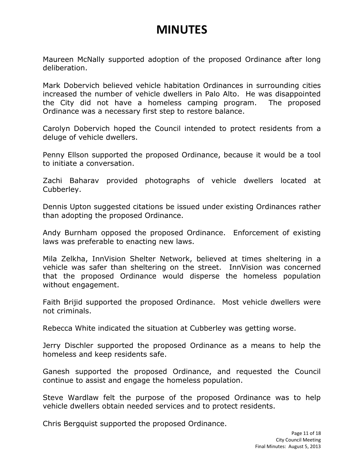Maureen McNally supported adoption of the proposed Ordinance after long deliberation.

Mark Dobervich believed vehicle habitation Ordinances in surrounding cities increased the number of vehicle dwellers in Palo Alto. He was disappointed the City did not have a homeless camping program. The proposed Ordinance was a necessary first step to restore balance.

Carolyn Dobervich hoped the Council intended to protect residents from a deluge of vehicle dwellers.

Penny Ellson supported the proposed Ordinance, because it would be a tool to initiate a conversation.

Zachi Baharav provided photographs of vehicle dwellers located at Cubberley.

Dennis Upton suggested citations be issued under existing Ordinances rather than adopting the proposed Ordinance.

Andy Burnham opposed the proposed Ordinance. Enforcement of existing laws was preferable to enacting new laws.

Mila Zelkha, InnVision Shelter Network, believed at times sheltering in a vehicle was safer than sheltering on the street. InnVision was concerned that the proposed Ordinance would disperse the homeless population without engagement.

Faith Brijid supported the proposed Ordinance. Most vehicle dwellers were not criminals.

Rebecca White indicated the situation at Cubberley was getting worse.

Jerry Dischler supported the proposed Ordinance as a means to help the homeless and keep residents safe.

Ganesh supported the proposed Ordinance, and requested the Council continue to assist and engage the homeless population.

Steve Wardlaw felt the purpose of the proposed Ordinance was to help vehicle dwellers obtain needed services and to protect residents.

Chris Bergquist supported the proposed Ordinance.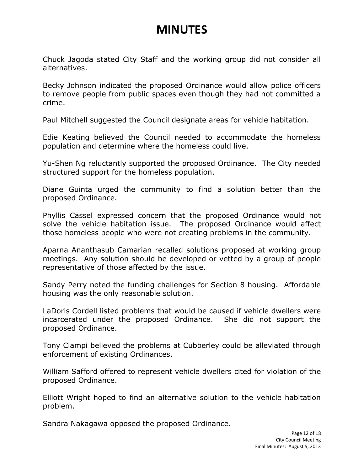Chuck Jagoda stated City Staff and the working group did not consider all alternatives.

Becky Johnson indicated the proposed Ordinance would allow police officers to remove people from public spaces even though they had not committed a crime.

Paul Mitchell suggested the Council designate areas for vehicle habitation.

Edie Keating believed the Council needed to accommodate the homeless population and determine where the homeless could live.

Yu-Shen Ng reluctantly supported the proposed Ordinance. The City needed structured support for the homeless population.

Diane Guinta urged the community to find a solution better than the proposed Ordinance.

Phyllis Cassel expressed concern that the proposed Ordinance would not solve the vehicle habitation issue. The proposed Ordinance would affect those homeless people who were not creating problems in the community.

Aparna Ananthasub Camarian recalled solutions proposed at working group meetings. Any solution should be developed or vetted by a group of people representative of those affected by the issue.

Sandy Perry noted the funding challenges for Section 8 housing. Affordable housing was the only reasonable solution.

LaDoris Cordell listed problems that would be caused if vehicle dwellers were incarcerated under the proposed Ordinance. She did not support the proposed Ordinance.

Tony Ciampi believed the problems at Cubberley could be alleviated through enforcement of existing Ordinances.

William Safford offered to represent vehicle dwellers cited for violation of the proposed Ordinance.

Elliott Wright hoped to find an alternative solution to the vehicle habitation problem.

Sandra Nakagawa opposed the proposed Ordinance.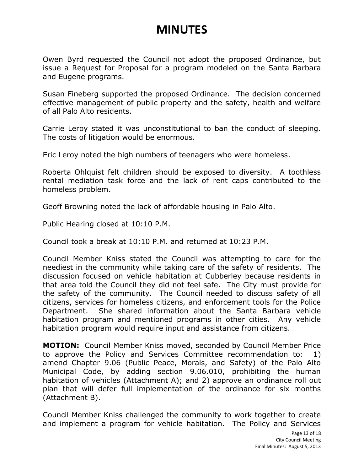Owen Byrd requested the Council not adopt the proposed Ordinance, but issue a Request for Proposal for a program modeled on the Santa Barbara and Eugene programs.

Susan Fineberg supported the proposed Ordinance. The decision concerned effective management of public property and the safety, health and welfare of all Palo Alto residents.

Carrie Leroy stated it was unconstitutional to ban the conduct of sleeping. The costs of litigation would be enormous.

Eric Leroy noted the high numbers of teenagers who were homeless.

Roberta Ohlquist felt children should be exposed to diversity. A toothless rental mediation task force and the lack of rent caps contributed to the homeless problem.

Geoff Browning noted the lack of affordable housing in Palo Alto.

Public Hearing closed at 10:10 P.M.

Council took a break at 10:10 P.M. and returned at 10:23 P.M.

Council Member Kniss stated the Council was attempting to care for the neediest in the community while taking care of the safety of residents. The discussion focused on vehicle habitation at Cubberley because residents in that area told the Council they did not feel safe. The City must provide for the safety of the community. The Council needed to discuss safety of all citizens, services for homeless citizens, and enforcement tools for the Police Department. She shared information about the Santa Barbara vehicle habitation program and mentioned programs in other cities. Any vehicle habitation program would require input and assistance from citizens.

**MOTION:** Council Member Kniss moved, seconded by Council Member Price to approve the Policy and Services Committee recommendation to: 1) amend Chapter 9.06 (Public Peace, Morals, and Safety) of the Palo Alto Municipal Code, by adding section 9.06.010, prohibiting the human habitation of vehicles (Attachment A); and 2) approve an ordinance roll out plan that will defer full implementation of the ordinance for six months (Attachment B).

Council Member Kniss challenged the community to work together to create and implement a program for vehicle habitation. The Policy and Services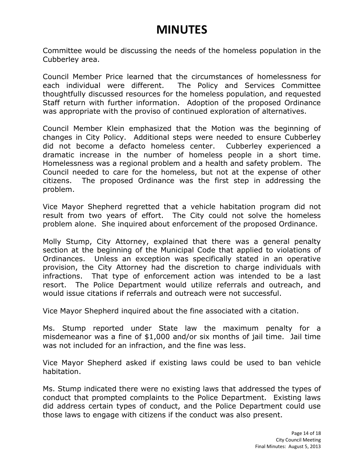Committee would be discussing the needs of the homeless population in the Cubberley area.

Council Member Price learned that the circumstances of homelessness for each individual were different. The Policy and Services Committee thoughtfully discussed resources for the homeless population, and requested Staff return with further information. Adoption of the proposed Ordinance was appropriate with the proviso of continued exploration of alternatives.

Council Member Klein emphasized that the Motion was the beginning of changes in City Policy. Additional steps were needed to ensure Cubberley did not become a defacto homeless center. Cubberley experienced a dramatic increase in the number of homeless people in a short time. Homelessness was a regional problem and a health and safety problem. The Council needed to care for the homeless, but not at the expense of other citizens. The proposed Ordinance was the first step in addressing the problem.

Vice Mayor Shepherd regretted that a vehicle habitation program did not result from two years of effort. The City could not solve the homeless problem alone. She inquired about enforcement of the proposed Ordinance.

Molly Stump, City Attorney, explained that there was a general penalty section at the beginning of the Municipal Code that applied to violations of Ordinances. Unless an exception was specifically stated in an operative provision, the City Attorney had the discretion to charge individuals with infractions. That type of enforcement action was intended to be a last resort. The Police Department would utilize referrals and outreach, and would issue citations if referrals and outreach were not successful.

Vice Mayor Shepherd inquired about the fine associated with a citation.

Ms. Stump reported under State law the maximum penalty for a misdemeanor was a fine of \$1,000 and/or six months of jail time. Jail time was not included for an infraction, and the fine was less.

Vice Mayor Shepherd asked if existing laws could be used to ban vehicle habitation.

Ms. Stump indicated there were no existing laws that addressed the types of conduct that prompted complaints to the Police Department. Existing laws did address certain types of conduct, and the Police Department could use those laws to engage with citizens if the conduct was also present.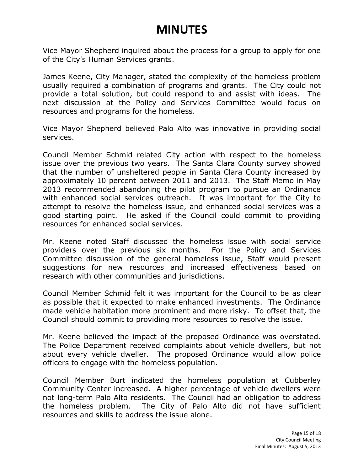Vice Mayor Shepherd inquired about the process for a group to apply for one of the City's Human Services grants.

James Keene, City Manager, stated the complexity of the homeless problem usually required a combination of programs and grants. The City could not provide a total solution, but could respond to and assist with ideas. The next discussion at the Policy and Services Committee would focus on resources and programs for the homeless.

Vice Mayor Shepherd believed Palo Alto was innovative in providing social services.

Council Member Schmid related City action with respect to the homeless issue over the previous two years. The Santa Clara County survey showed that the number of unsheltered people in Santa Clara County increased by approximately 10 percent between 2011 and 2013. The Staff Memo in May 2013 recommended abandoning the pilot program to pursue an Ordinance with enhanced social services outreach. It was important for the City to attempt to resolve the homeless issue, and enhanced social services was a good starting point. He asked if the Council could commit to providing resources for enhanced social services.

Mr. Keene noted Staff discussed the homeless issue with social service providers over the previous six months. For the Policy and Services Committee discussion of the general homeless issue, Staff would present suggestions for new resources and increased effectiveness based on research with other communities and jurisdictions.

Council Member Schmid felt it was important for the Council to be as clear as possible that it expected to make enhanced investments. The Ordinance made vehicle habitation more prominent and more risky. To offset that, the Council should commit to providing more resources to resolve the issue.

Mr. Keene believed the impact of the proposed Ordinance was overstated. The Police Department received complaints about vehicle dwellers, but not about every vehicle dweller. The proposed Ordinance would allow police officers to engage with the homeless population.

Council Member Burt indicated the homeless population at Cubberley Community Center increased. A higher percentage of vehicle dwellers were not long-term Palo Alto residents. The Council had an obligation to address the homeless problem. The City of Palo Alto did not have sufficient resources and skills to address the issue alone.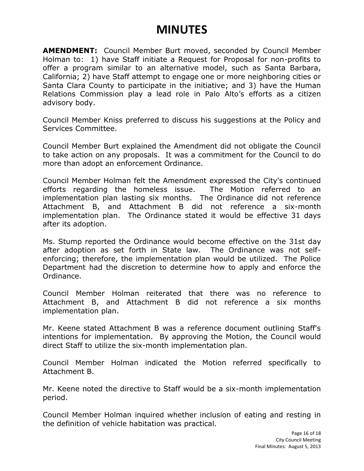**AMENDMENT:** Council Member Burt moved, seconded by Council Member Holman to: 1) have Staff initiate a Request for Proposal for non-profits to offer a program similar to an alternative model, such as Santa Barbara, California; 2) have Staff attempt to engage one or more neighboring cities or Santa Clara County to participate in the initiative; and 3) have the Human Relations Commission play a lead role in Palo Alto's efforts as a citizen advisory body.

Council Member Kniss preferred to discuss his suggestions at the Policy and Services Committee.

Council Member Burt explained the Amendment did not obligate the Council to take action on any proposals. It was a commitment for the Council to do more than adopt an enforcement Ordinance.

Council Member Holman felt the Amendment expressed the City's continued efforts regarding the homeless issue. The Motion referred to an implementation plan lasting six months. The Ordinance did not reference Attachment B, and Attachment B did not reference a six-month implementation plan. The Ordinance stated it would be effective 31 days after its adoption.

Ms. Stump reported the Ordinance would become effective on the 31st day after adoption as set forth in State law. The Ordinance was not selfenforcing; therefore, the implementation plan would be utilized. The Police Department had the discretion to determine how to apply and enforce the Ordinance.

Council Member Holman reiterated that there was no reference to Attachment B, and Attachment B did not reference a six months implementation plan.

Mr. Keene stated Attachment B was a reference document outlining Staff's intentions for implementation. By approving the Motion, the Council would direct Staff to utilize the six-month implementation plan.

Council Member Holman indicated the Motion referred specifically to Attachment B.

Mr. Keene noted the directive to Staff would be a six-month implementation period.

Council Member Holman inquired whether inclusion of eating and resting in the definition of vehicle habitation was practical.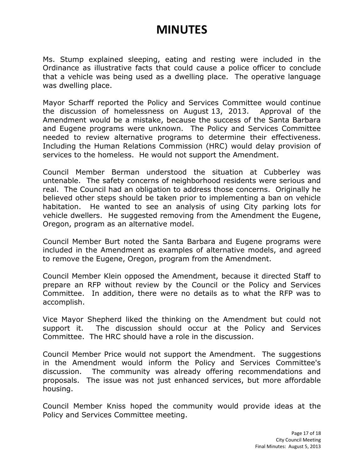Ms. Stump explained sleeping, eating and resting were included in the Ordinance as illustrative facts that could cause a police officer to conclude that a vehicle was being used as a dwelling place. The operative language was dwelling place.

Mayor Scharff reported the Policy and Services Committee would continue the discussion of homelessness on August 13, 2013. Approval of the Amendment would be a mistake, because the success of the Santa Barbara and Eugene programs were unknown. The Policy and Services Committee needed to review alternative programs to determine their effectiveness. Including the Human Relations Commission (HRC) would delay provision of services to the homeless. He would not support the Amendment.

Council Member Berman understood the situation at Cubberley was untenable. The safety concerns of neighborhood residents were serious and real. The Council had an obligation to address those concerns. Originally he believed other steps should be taken prior to implementing a ban on vehicle habitation. He wanted to see an analysis of using City parking lots for vehicle dwellers. He suggested removing from the Amendment the Eugene, Oregon, program as an alternative model.

Council Member Burt noted the Santa Barbara and Eugene programs were included in the Amendment as examples of alternative models, and agreed to remove the Eugene, Oregon, program from the Amendment.

Council Member Klein opposed the Amendment, because it directed Staff to prepare an RFP without review by the Council or the Policy and Services Committee. In addition, there were no details as to what the RFP was to accomplish.

Vice Mayor Shepherd liked the thinking on the Amendment but could not support it. The discussion should occur at the Policy and Services Committee. The HRC should have a role in the discussion.

Council Member Price would not support the Amendment. The suggestions in the Amendment would inform the Policy and Services Committee's discussion. The community was already offering recommendations and proposals. The issue was not just enhanced services, but more affordable housing.

Council Member Kniss hoped the community would provide ideas at the Policy and Services Committee meeting.